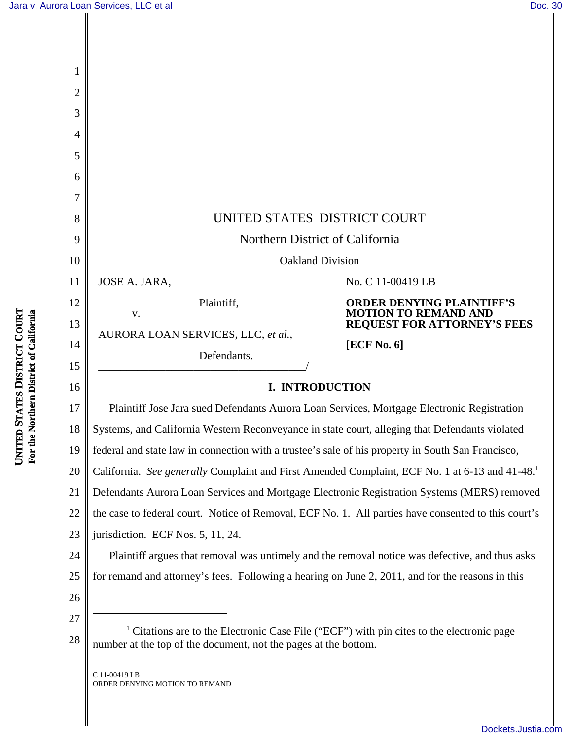| 1        |                                                                                                                                                            |                                                                 |
|----------|------------------------------------------------------------------------------------------------------------------------------------------------------------|-----------------------------------------------------------------|
| 2        |                                                                                                                                                            |                                                                 |
| 3        |                                                                                                                                                            |                                                                 |
| 4        |                                                                                                                                                            |                                                                 |
| 5        |                                                                                                                                                            |                                                                 |
| 6        |                                                                                                                                                            |                                                                 |
| 7        |                                                                                                                                                            |                                                                 |
| 8        | UNITED STATES DISTRICT COURT                                                                                                                               |                                                                 |
| 9        | Northern District of California                                                                                                                            |                                                                 |
| 10       | <b>Oakland Division</b>                                                                                                                                    |                                                                 |
| 11       | JOSE A. JARA,                                                                                                                                              | No. C 11-00419 LB                                               |
| 12       | Plaintiff,<br>${\bf V}$ .                                                                                                                                  | <b>ORDER DENYING PLAINTIFF'S</b><br><b>MOTION TO REMAND AND</b> |
| 13       | AURORA LOAN SERVICES, LLC, et al.,                                                                                                                         | <b>REQUEST FOR ATTORNEY'S FEES</b>                              |
| 14       | Defendants.                                                                                                                                                | [ECF No. 6]                                                     |
| 15       |                                                                                                                                                            |                                                                 |
| 16       | I. INTRODUCTION                                                                                                                                            |                                                                 |
| 17       | Plaintiff Jose Jara sued Defendants Aurora Loan Services, Mortgage Electronic Registration                                                                 |                                                                 |
| 18       | Systems, and California Western Reconveyance in state court, alleging that Defendants violated                                                             |                                                                 |
| 19       | federal and state law in connection with a trustee's sale of his property in South San Francisco,                                                          |                                                                 |
| 20       | California. See generally Complaint and First Amended Complaint, ECF No. 1 at 6-13 and 41-48.                                                              |                                                                 |
| 21       | Defendants Aurora Loan Services and Mortgage Electronic Registration Systems (MERS) removed                                                                |                                                                 |
| 22       | the case to federal court. Notice of Removal, ECF No. 1. All parties have consented to this court's                                                        |                                                                 |
| 23       | jurisdiction. ECF Nos. 5, 11, 24.                                                                                                                          |                                                                 |
| 24       | Plaintiff argues that removal was untimely and the removal notice was defective, and thus asks                                                             |                                                                 |
| 25       | for remand and attorney's fees. Following a hearing on June 2, 2011, and for the reasons in this                                                           |                                                                 |
| 26       |                                                                                                                                                            |                                                                 |
| 27<br>28 | Citations are to the Electronic Case File ("ECF") with pin cites to the electronic page<br>number at the top of the document, not the pages at the bottom. |                                                                 |
|          | C 11-00419 LB<br>ORDER DENYING MOTION TO REMAND                                                                                                            |                                                                 |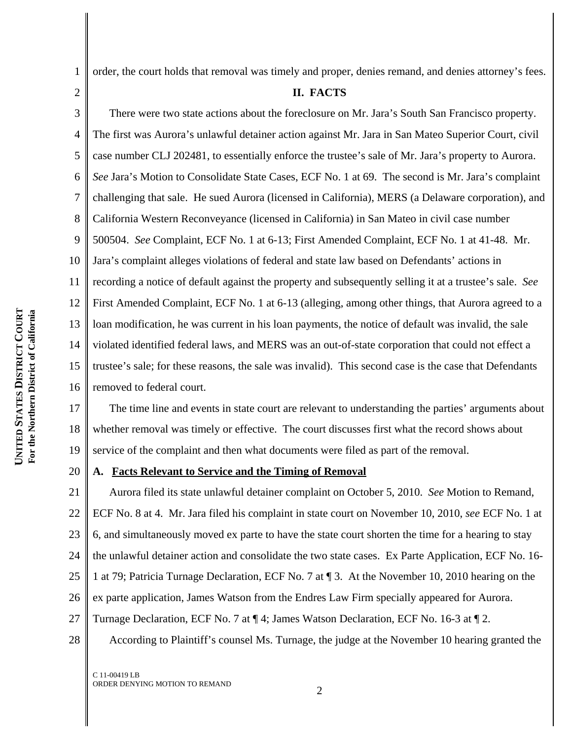1 order, the court holds that removal was timely and proper, denies remand, and denies attorney's fees.

2

## **II. FACTS**

3 4 5 6 7 8 9 10 11 12 13 14 15 16 There were two state actions about the foreclosure on Mr. Jara's South San Francisco property. The first was Aurora's unlawful detainer action against Mr. Jara in San Mateo Superior Court, civil case number CLJ 202481, to essentially enforce the trustee's sale of Mr. Jara's property to Aurora. *See* Jara's Motion to Consolidate State Cases, ECF No. 1 at 69. The second is Mr. Jara's complaint challenging that sale. He sued Aurora (licensed in California), MERS (a Delaware corporation), and California Western Reconveyance (licensed in California) in San Mateo in civil case number 500504. *See* Complaint, ECF No. 1 at 6-13; First Amended Complaint, ECF No. 1 at 41-48. Mr. Jara's complaint alleges violations of federal and state law based on Defendants' actions in recording a notice of default against the property and subsequently selling it at a trustee's sale. *See* First Amended Complaint, ECF No. 1 at 6-13 (alleging, among other things, that Aurora agreed to a loan modification, he was current in his loan payments, the notice of default was invalid, the sale violated identified federal laws, and MERS was an out-of-state corporation that could not effect a trustee's sale; for these reasons, the sale was invalid). This second case is the case that Defendants removed to federal court.

17 18 19 The time line and events in state court are relevant to understanding the parties' arguments about whether removal was timely or effective. The court discusses first what the record shows about service of the complaint and then what documents were filed as part of the removal.

#### 20 **A. Facts Relevant to Service and the Timing of Removal**

21 22 23 24 25 26 27 28 Aurora filed its state unlawful detainer complaint on October 5, 2010. *See* Motion to Remand, ECF No. 8 at 4. Mr. Jara filed his complaint in state court on November 10, 2010, *see* ECF No. 1 at 6, and simultaneously moved ex parte to have the state court shorten the time for a hearing to stay the unlawful detainer action and consolidate the two state cases. Ex Parte Application, ECF No. 16- 1 at 79; Patricia Turnage Declaration, ECF No. 7 at ¶ 3. At the November 10, 2010 hearing on the ex parte application, James Watson from the Endres Law Firm specially appeared for Aurora. Turnage Declaration, ECF No. 7 at ¶ 4; James Watson Declaration, ECF No. 16-3 at ¶ 2.

According to Plaintiff's counsel Ms. Turnage, the judge at the November 10 hearing granted the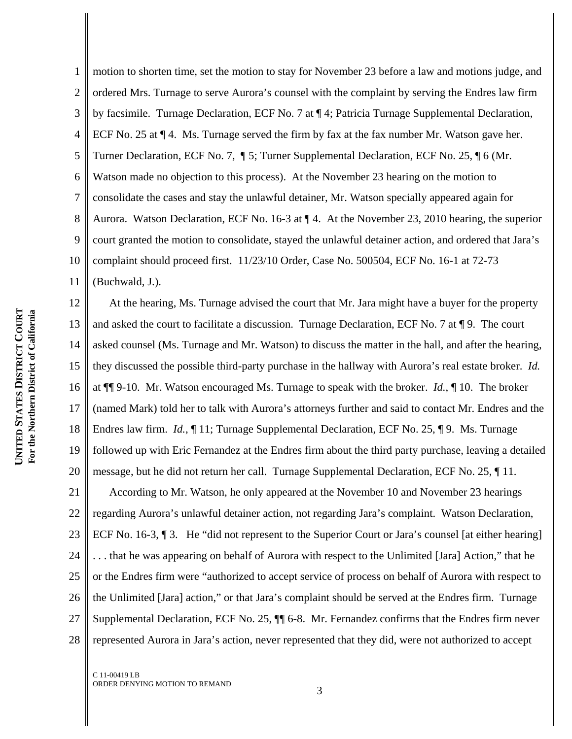1 2 3 4 5 6 motion to shorten time, set the motion to stay for November 23 before a law and motions judge, and ordered Mrs. Turnage to serve Aurora's counsel with the complaint by serving the Endres law firm by facsimile. Turnage Declaration, ECF No. 7 at ¶ 4; Patricia Turnage Supplemental Declaration, ECF No. 25 at ¶ 4. Ms. Turnage served the firm by fax at the fax number Mr. Watson gave her. Turner Declaration, ECF No. 7, ¶ 5; Turner Supplemental Declaration, ECF No. 25, ¶ 6 (Mr. Watson made no objection to this process). At the November 23 hearing on the motion to consolidate the cases and stay the unlawful detainer, Mr. Watson specially appeared again for Aurora. Watson Declaration, ECF No. 16-3 at ¶ 4. At the November 23, 2010 hearing, the superior court granted the motion to consolidate, stayed the unlawful detainer action, and ordered that Jara's complaint should proceed first. 11/23/10 Order, Case No. 500504, ECF No. 16-1 at 72-73 (Buchwald, J.).

19 20 21 22 23 24 25 26 27 28 At the hearing, Ms. Turnage advised the court that Mr. Jara might have a buyer for the property and asked the court to facilitate a discussion. Turnage Declaration, ECF No. 7 at ¶ 9. The court asked counsel (Ms. Turnage and Mr. Watson) to discuss the matter in the hall, and after the hearing, they discussed the possible third-party purchase in the hallway with Aurora's real estate broker. *Id.* at ¶¶ 9-10. Mr. Watson encouraged Ms. Turnage to speak with the broker. *Id.*, ¶ 10. The broker (named Mark) told her to talk with Aurora's attorneys further and said to contact Mr. Endres and the Endres law firm. *Id.*, ¶ 11; Turnage Supplemental Declaration, ECF No. 25, ¶ 9. Ms. Turnage followed up with Eric Fernandez at the Endres firm about the third party purchase, leaving a detailed message, but he did not return her call. Turnage Supplemental Declaration, ECF No. 25, ¶ 11. According to Mr. Watson, he only appeared at the November 10 and November 23 hearings regarding Aurora's unlawful detainer action, not regarding Jara's complaint. Watson Declaration, ECF No. 16-3, 1 3. He "did not represent to the Superior Court or Jara's counsel [at either hearing] . . . that he was appearing on behalf of Aurora with respect to the Unlimited [Jara] Action," that he or the Endres firm were "authorized to accept service of process on behalf of Aurora with respect to the Unlimited [Jara] action," or that Jara's complaint should be served at the Endres firm. Turnage Supplemental Declaration, ECF No. 25, ¶¶ 6-8. Mr. Fernandez confirms that the Endres firm never represented Aurora in Jara's action, never represented that they did, were not authorized to accept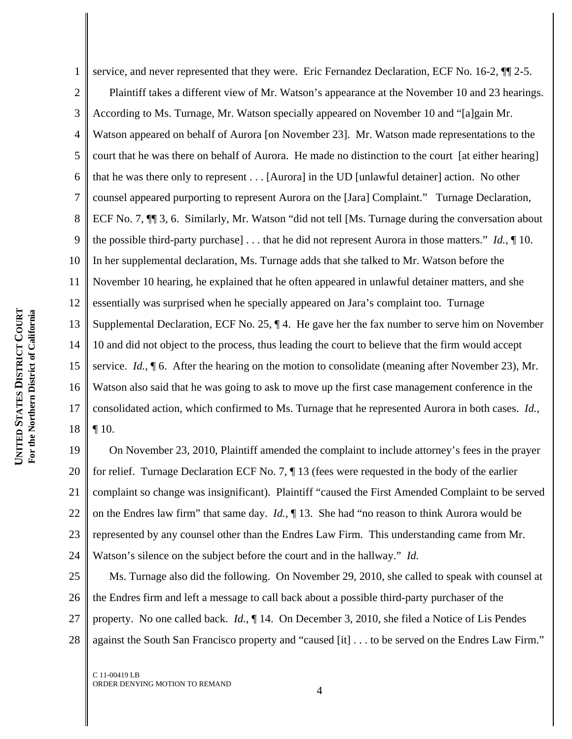1 2 3 service, and never represented that they were. Eric Fernandez Declaration, ECF No. 16-2,  $\P$  2-5. Plaintiff takes a different view of Mr. Watson's appearance at the November 10 and 23 hearings. According to Ms. Turnage, Mr. Watson specially appeared on November 10 and "[a]gain Mr. Watson appeared on behalf of Aurora [on November 23]. Mr. Watson made representations to the court that he was there on behalf of Aurora. He made no distinction to the court [at either hearing] that he was there only to represent . . . [Aurora] in the UD [unlawful detainer] action. No other counsel appeared purporting to represent Aurora on the [Jara] Complaint." Turnage Declaration, ECF No. 7, ¶¶ 3, 6. Similarly, Mr. Watson "did not tell [Ms. Turnage during the conversation about the possible third-party purchase] . . . that he did not represent Aurora in those matters." *Id.*, ¶ 10. In her supplemental declaration, Ms. Turnage adds that she talked to Mr. Watson before the November 10 hearing, he explained that he often appeared in unlawful detainer matters, and she essentially was surprised when he specially appeared on Jara's complaint too. Turnage Supplemental Declaration, ECF No. 25, ¶ 4. He gave her the fax number to serve him on November 10 and did not object to the process, thus leading the court to believe that the firm would accept service. *Id.*, **[6.** After the hearing on the motion to consolidate (meaning after November 23), Mr. Watson also said that he was going to ask to move up the first case management conference in the consolidated action, which confirmed to Ms. Turnage that he represented Aurora in both cases. *Id.*,  $\P$  10.

20 21 22 23 24 On November 23, 2010, Plaintiff amended the complaint to include attorney's fees in the prayer for relief. Turnage Declaration ECF No. 7, ¶ 13 (fees were requested in the body of the earlier complaint so change was insignificant). Plaintiff "caused the First Amended Complaint to be served on the Endres law firm" that same day. *Id.*, ¶ 13. She had "no reason to think Aurora would be represented by any counsel other than the Endres Law Firm. This understanding came from Mr. Watson's silence on the subject before the court and in the hallway." *Id.*

25 26 27 28 Ms. Turnage also did the following. On November 29, 2010, she called to speak with counsel at the Endres firm and left a message to call back about a possible third-party purchaser of the property. No one called back. *Id.*, ¶ 14. On December 3, 2010, she filed a Notice of Lis Pendes against the South San Francisco property and "caused [it] . . . to be served on the Endres Law Firm."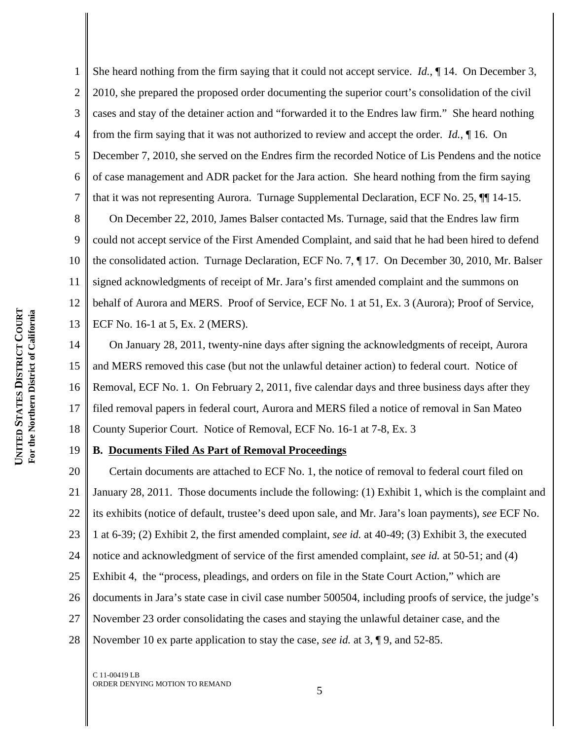2 3 4 5 6 7 She heard nothing from the firm saying that it could not accept service. *Id.*, ¶ 14. On December 3, 2010, she prepared the proposed order documenting the superior court's consolidation of the civil cases and stay of the detainer action and "forwarded it to the Endres law firm." She heard nothing from the firm saying that it was not authorized to review and accept the order. *Id.*, ¶ 16. On December 7, 2010, she served on the Endres firm the recorded Notice of Lis Pendens and the notice of case management and ADR packet for the Jara action. She heard nothing from the firm saying that it was not representing Aurora. Turnage Supplemental Declaration, ECF No. 25, ¶¶ 14-15.

8 9 10 11 12 13 On December 22, 2010, James Balser contacted Ms. Turnage, said that the Endres law firm could not accept service of the First Amended Complaint, and said that he had been hired to defend the consolidated action. Turnage Declaration, ECF No. 7, ¶ 17. On December 30, 2010, Mr. Balser signed acknowledgments of receipt of Mr. Jara's first amended complaint and the summons on behalf of Aurora and MERS.Proof of Service, ECF No. 1 at 51, Ex. 3 (Aurora); Proof of Service, ECF No. 16-1 at 5, Ex. 2 (MERS).

14 15 16 17 18 On January 28, 2011, twenty-nine days after signing the acknowledgments of receipt, Aurora and MERS removed this case (but not the unlawful detainer action) to federal court. Notice of Removal, ECF No. 1. On February 2, 2011, five calendar days and three business days after they filed removal papers in federal court, Aurora and MERS filed a notice of removal in San Mateo County Superior Court. Notice of Removal, ECF No. 16-1 at 7-8, Ex. 3

# **B. Documents Filed As Part of Removal Proceedings**

20 21 22 23 24 25 26 27 28 Certain documents are attached to ECF No. 1, the notice of removal to federal court filed on January 28, 2011. Those documents include the following: (1) Exhibit 1, which is the complaint and its exhibits (notice of default, trustee's deed upon sale, and Mr. Jara's loan payments), *see* ECF No. 1 at 6-39; (2) Exhibit 2, the first amended complaint, *see id.* at 40-49; (3) Exhibit 3, the executed notice and acknowledgment of service of the first amended complaint, *see id.* at 50-51; and (4) Exhibit 4, the "process, pleadings, and orders on file in the State Court Action," which are documents in Jara's state case in civil case number 500504, including proofs of service, the judge's November 23 order consolidating the cases and staying the unlawful detainer case, and the November 10 ex parte application to stay the case, *see id.* at 3, ¶ 9, and 52-85.

C 11-00419 LB ORDER DENYING MOTION TO REMAND

19

1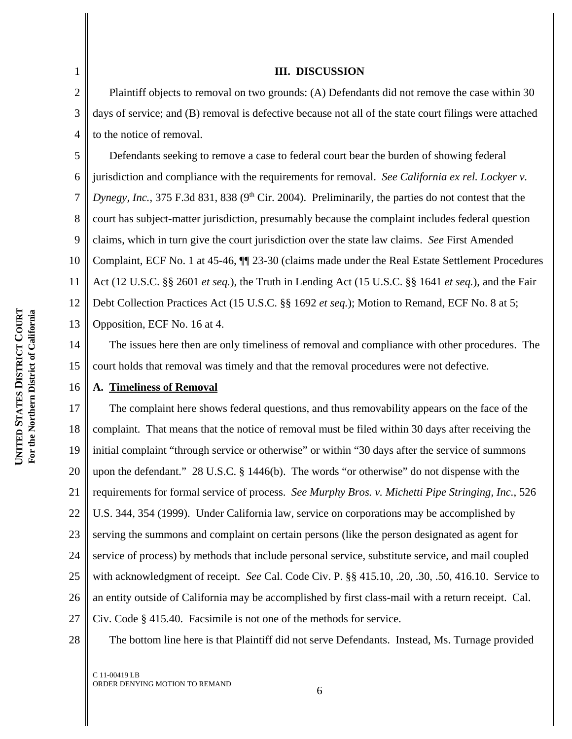1

2

3

4

14

15

**UNITED** 

## **III. DISCUSSION**

Plaintiff objects to removal on two grounds: (A) Defendants did not remove the case within 30 days of service; and (B) removal is defective because not all of the state court filings were attached to the notice of removal.

5 6 7 8 9 10 11 12 13 Defendants seeking to remove a case to federal court bear the burden of showing federal jurisdiction and compliance with the requirements for removal. *See California ex rel. Lockyer v. Dynegy, Inc.*, 375 F.3d 831, 838 (9<sup>th</sup> Cir. 2004). Preliminarily, the parties do not contest that the court has subject-matter jurisdiction, presumably because the complaint includes federal question claims, which in turn give the court jurisdiction over the state law claims. *See* First Amended Complaint, ECF No. 1 at 45-46, ¶¶ 23-30 (claims made under the Real Estate Settlement Procedures Act (12 U.S.C. §§ 2601 *et seq.*), the Truth in Lending Act (15 U.S.C. §§ 1641 *et seq.*), and the Fair Debt Collection Practices Act (15 U.S.C. §§ 1692 *et seq.*); Motion to Remand, ECF No. 8 at 5; Opposition, ECF No. 16 at 4.

The issues here then are only timeliness of removal and compliance with other procedures. The court holds that removal was timely and that the removal procedures were not defective.

#### 16 **A. Timeliness of Removal**

17 18 19 20 21 22 23 24 25 26 27 The complaint here shows federal questions, and thus removability appears on the face of the complaint. That means that the notice of removal must be filed within 30 days after receiving the initial complaint "through service or otherwise" or within "30 days after the service of summons upon the defendant." 28 U.S.C. § 1446(b). The words "or otherwise" do not dispense with the requirements for formal service of process. *See Murphy Bros. v. Michetti Pipe Stringing, Inc.*, 526 U.S. 344, 354 (1999). Under California law, service on corporations may be accomplished by serving the summons and complaint on certain persons (like the person designated as agent for service of process) by methods that include personal service, substitute service, and mail coupled with acknowledgment of receipt. *See* Cal. Code Civ. P. §§ 415.10, .20, .30, .50, 416.10. Service to an entity outside of California may be accomplished by first class-mail with a return receipt. Cal. Civ. Code § 415.40. Facsimile is not one of the methods for service.

28

The bottom line here is that Plaintiff did not serve Defendants. Instead, Ms. Turnage provided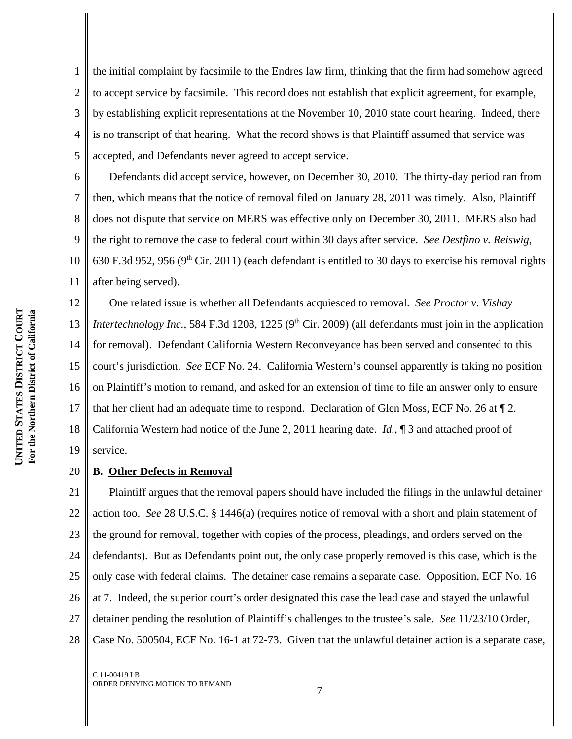1 2 3 4 5 the initial complaint by facsimile to the Endres law firm, thinking that the firm had somehow agreed to accept service by facsimile. This record does not establish that explicit agreement, for example, by establishing explicit representations at the November 10, 2010 state court hearing. Indeed, there is no transcript of that hearing. What the record shows is that Plaintiff assumed that service was accepted, and Defendants never agreed to accept service.

6 7 8 9 10 11 Defendants did accept service, however, on December 30, 2010. The thirty-day period ran from then, which means that the notice of removal filed on January 28, 2011 was timely. Also, Plaintiff does not dispute that service on MERS was effective only on December 30, 2011. MERS also had the right to remove the case to federal court within 30 days after service. *See Destfino v. Reiswig*, 630 F.3d 952, 956 (9<sup>th</sup> Cir. 2011) (each defendant is entitled to 30 days to exercise his removal rights after being served).

12 13 14 15 16 17 18 19 One related issue is whether all Defendants acquiesced to removal. *See Proctor v. Vishay Intertechnology Inc.*, 584 F.3d 1208, 1225 (9<sup>th</sup> Cir. 2009) (all defendants must join in the application for removal). Defendant California Western Reconveyance has been served and consented to this court's jurisdiction. *See* ECF No. 24. California Western's counsel apparently is taking no position on Plaintiff's motion to remand, and asked for an extension of time to file an answer only to ensure that her client had an adequate time to respond. Declaration of Glen Moss, ECF No. 26 at ¶ 2. California Western had notice of the June 2, 2011 hearing date. *Id.*, ¶ 3 and attached proof of service.

### 20 **B. Other Defects in Removal**

21 22 23 24 25 26 27 28 Plaintiff argues that the removal papers should have included the filings in the unlawful detainer action too. *See* 28 U.S.C. § 1446(a) (requires notice of removal with a short and plain statement of the ground for removal, together with copies of the process, pleadings, and orders served on the defendants). But as Defendants point out, the only case properly removed is this case, which is the only case with federal claims. The detainer case remains a separate case. Opposition, ECF No. 16 at 7. Indeed, the superior court's order designated this case the lead case and stayed the unlawful detainer pending the resolution of Plaintiff's challenges to the trustee's sale. *See* 11/23/10 Order, Case No. 500504, ECF No. 16-1 at 72-73. Given that the unlawful detainer action is a separate case,

C 11-00419 LB ORDER DENYING MOTION TO REMAND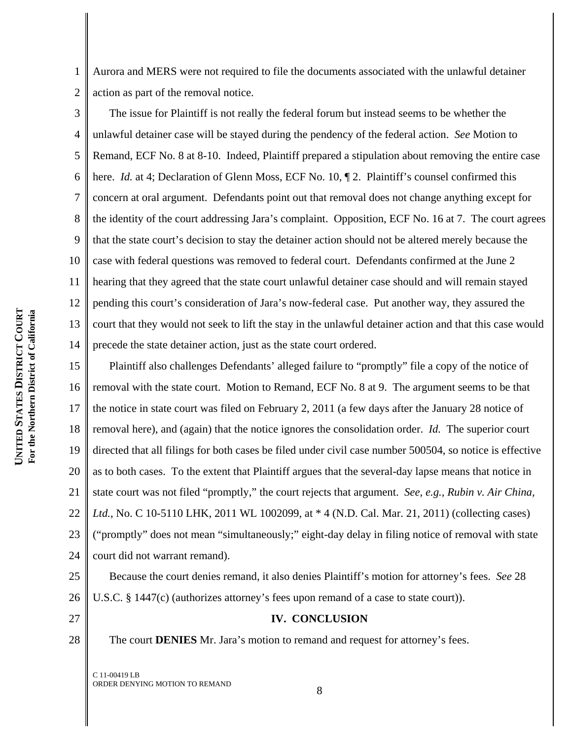1 2 Aurora and MERS were not required to file the documents associated with the unlawful detainer action as part of the removal notice.

3 4 5 6 7 8 9 10 11 12 13 14 The issue for Plaintiff is not really the federal forum but instead seems to be whether the unlawful detainer case will be stayed during the pendency of the federal action. *See* Motion to Remand, ECF No. 8 at 8-10. Indeed, Plaintiff prepared a stipulation about removing the entire case here. *Id.* at 4; Declaration of Glenn Moss, ECF No. 10,  $\P$  2. Plaintiff's counsel confirmed this concern at oral argument.Defendants point out that removal does not change anything except for the identity of the court addressing Jara's complaint. Opposition, ECF No. 16 at 7. The court agrees that the state court's decision to stay the detainer action should not be altered merely because the case with federal questions was removed to federal court. Defendants confirmed at the June 2 hearing that they agreed that the state court unlawful detainer case should and will remain stayed pending this court's consideration of Jara's now-federal case. Put another way, they assured the court that they would not seek to lift the stay in the unlawful detainer action and that this case would precede the state detainer action, just as the state court ordered.

15 16 17 18 19 20 21 22 23 24 Plaintiff also challenges Defendants' alleged failure to "promptly" file a copy of the notice of removal with the state court. Motion to Remand, ECF No. 8 at 9. The argument seems to be that the notice in state court was filed on February 2, 2011 (a few days after the January 28 notice of removal here), and (again) that the notice ignores the consolidation order. *Id.* The superior court directed that all filings for both cases be filed under civil case number 500504, so notice is effective as to both cases. To the extent that Plaintiff argues that the several-day lapse means that notice in state court was not filed "promptly," the court rejects that argument. *See, e.g., Rubin v. Air China, Ltd.*, No. C 10-5110 LHK, 2011 WL 1002099, at \* 4 (N.D. Cal. Mar. 21, 2011) (collecting cases) ("promptly" does not mean "simultaneously;" eight-day delay in filing notice of removal with state court did not warrant remand).

25 26 Because the court denies remand, it also denies Plaintiff's motion for attorney's fees. *See* 28 U.S.C. § 1447(c) (authorizes attorney's fees upon remand of a case to state court)).

**IV. CONCLUSION**

The court **DENIES** Mr. Jara's motion to remand and request for attorney's fees.

C 11-00419 LB ORDER DENYING MOTION TO REMAND

27

28